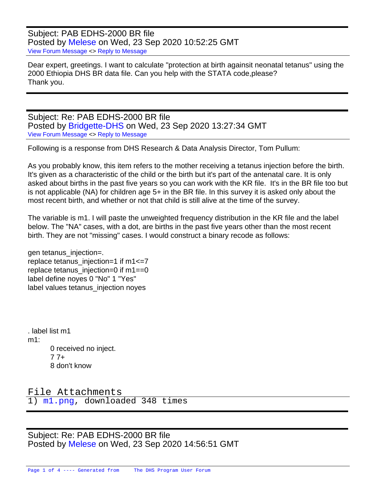Subject: PAB EDHS-2000 BR file Posted by [Melese](https://userforum.dhsprogram.com/index.php?t=usrinfo&id=8300) on Wed, 23 Sep 2020 10:52:25 GMT [View Forum Message](https://userforum.dhsprogram.com/index.php?t=rview&th=9309&goto=20072#msg_20072) <> [Reply to Message](https://userforum.dhsprogram.com/index.php?t=post&reply_to=20072)

Dear expert, greetings. I want to calculate "protection at birth againsit neonatal tetanus" using the 2000 Ethiopia DHS BR data file. Can you help with the STATA code,please? Thank you.

Subject: Re: PAB EDHS-2000 BR file Posted by [Bridgette-DHS](https://userforum.dhsprogram.com/index.php?t=usrinfo&id=11) on Wed, 23 Sep 2020 13:27:34 GMT [View Forum Message](https://userforum.dhsprogram.com/index.php?t=rview&th=9309&goto=20076#msg_20076) <> [Reply to Message](https://userforum.dhsprogram.com/index.php?t=post&reply_to=20076)

Following is a response from DHS Research & Data Analysis Director, Tom Pullum:

As you probably know, this item refers to the mother receiving a tetanus injection before the birth. It's given as a characteristic of the child or the birth but it's part of the antenatal care. It is only asked about births in the past five years so you can work with the KR file. It's in the BR file too but is not applicable (NA) for children age 5+ in the BR file. In this survey it is asked only about the most recent birth, and whether or not that child is still alive at the time of the survey.

The variable is m1. I will paste the unweighted frequency distribution in the KR file and the label below. The "NA" cases, with a dot, are births in the past five years other than the most recent birth. They are not "missing" cases. I would construct a binary recode as follows:

gen tetanus\_injection=. replace tetanus\_injection=1 if m1<=7 replace tetanus\_injection=0 if m1==0 label define noyes 0 "No" 1 "Yes" label values tetanus injection noyes

. label list m1 m1: 0 received no inject.  $77 +$ 8 don't know

File Attachments 1) [m1.png,](https://userforum.dhsprogram.com/index.php?t=getfile&id=1610) downloaded 348 times

Subject: Re: PAB EDHS-2000 BR file Posted by [Melese](https://userforum.dhsprogram.com/index.php?t=usrinfo&id=8300) on Wed, 23 Sep 2020 14:56:51 GMT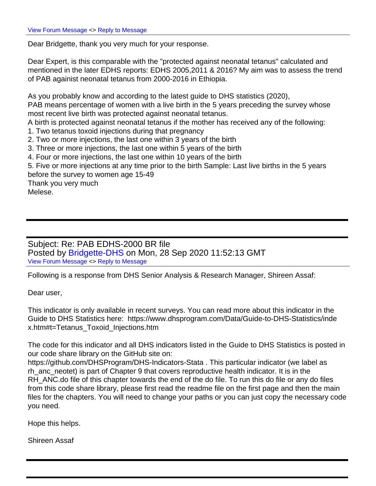Dear Bridgette, thank you very much for your response.

Dear Expert, is this comparable with the "protected against neonatal tetanus" calculated and mentioned in the later EDHS reports: EDHS 2005,2011 & 2016? My aim was to assess the trend of PAB againist neonatal tetanus from 2000-2016 in Ethiopia.

As you probably know and according to the latest guide to DHS statistics (2020), PAB means percentage of women with a live birth in the 5 years preceding the survey whose most recent live birth was protected against neonatal tetanus.

A birth is protected against neonatal tetanus if the mother has received any of the following:

1. Two tetanus toxoid injections during that pregnancy

2. Two or more injections, the last one within 3 years of the birth

3. Three or more injections, the last one within 5 years of the birth

4. Four or more injections, the last one within 10 years of the birth

5. Five or more injections at any time prior to the birth Sample: Last live births in the 5 years before the survey to women age 15-49

Thank you very much Melese.

Subject: Re: PAB EDHS-2000 BR file Posted by [Bridgette-DHS](https://userforum.dhsprogram.com/index.php?t=usrinfo&id=11) on Mon, 28 Sep 2020 11:52:13 GMT [View Forum Message](https://userforum.dhsprogram.com/index.php?t=rview&th=9309&goto=20125#msg_20125) <> [Reply to Message](https://userforum.dhsprogram.com/index.php?t=post&reply_to=20125)

Following is a response from DHS Senior Analysis & Research Manager, Shireen Assaf:

Dear user,

This indicator is only available in recent surveys. You can read more about this indicator in the Guide to DHS Statistics here: https://www.dhsprogram.com/Data/Guide-to-DHS-Statistics/inde x.htm#t=Tetanus\_Toxoid\_Injections.htm

The code for this indicator and all DHS indicators listed in the Guide to DHS Statistics is posted in our code share library on the GitHub site on:

https://github.com/DHSProgram/DHS-Indicators-Stata . This particular indicator (we label as rh\_anc\_neotet) is part of Chapter 9 that covers reproductive health indicator. It is in the RH\_ANC.do file of this chapter towards the end of the do file. To run this do file or any do files from this code share library, please first read the readme file on the first page and then the main files for the chapters. You will need to change your paths or you can just copy the necessary code you need.

Hope this helps.

Shireen Assaf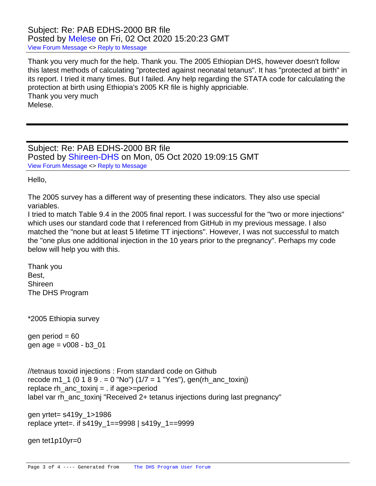## Subject: Re: PAB EDHS-2000 BR file Posted by [Melese](https://userforum.dhsprogram.com/index.php?t=usrinfo&id=8300) on Fri, 02 Oct 2020 15:20:23 GMT [View Forum Message](https://userforum.dhsprogram.com/index.php?t=rview&th=9309&goto=20160#msg_20160) <> [Reply to Message](https://userforum.dhsprogram.com/index.php?t=post&reply_to=20160)

Thank you very much for the help. Thank you. The 2005 Ethiopian DHS, however doesn't follow this latest methods of calculating "protected against neonatal tetanus". It has "protected at birth" in its report. I tried it many times. But I failed. Any help regarding the STATA code for calculating the protection at birth using Ethiopia's 2005 KR file is highly appriciable. Thank you very much Melese.

Subject: Re: PAB EDHS-2000 BR file Posted by [Shireen-DHS](https://userforum.dhsprogram.com/index.php?t=usrinfo&id=9656) on Mon, 05 Oct 2020 19:09:15 GMT [View Forum Message](https://userforum.dhsprogram.com/index.php?t=rview&th=9309&goto=20174#msg_20174) <> [Reply to Message](https://userforum.dhsprogram.com/index.php?t=post&reply_to=20174)

Hello,

The 2005 survey has a different way of presenting these indicators. They also use special variables.

I tried to match Table 9.4 in the 2005 final report. I was successful for the "two or more injections" which uses our standard code that I referenced from GitHub in my previous message. I also matched the "none but at least 5 lifetime TT injections". However, I was not successful to match the "one plus one additional injection in the 10 years prior to the pregnancy". Perhaps my code below will help you with this.

Thank you Best, Shireen The DHS Program

\*2005 Ethiopia survey

gen period  $= 60$ gen age =  $v008 - b3$  01

```
//tetnaus toxoid injections : From standard code on Github
recode m1_1 (0 1 8 9 = 0 "No") (1/7 = 1 "Yes"), gen(rh_anc_toxinj)
replace rh_anc_toxinj = . if age > = period
label var rh_anc_toxinj "Received 2+ tetanus injections during last pregnancy"
```

```
gen yrtet= s419y_1>1986 
replace yrtet=. if s419y_1==9998 | s419y_1==9999
```

```
gen tet1p10yr=0
```